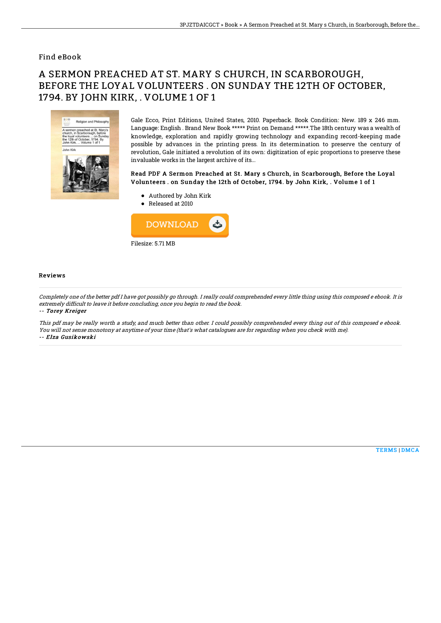### Find eBook

# A SERMON PREACHED AT ST. MARY S CHURCH, IN SCARBOROUGH, BEFORE THE LOYAL VOLUNTEERS . ON SUNDAY THE 12TH OF OCTOBER, 1794. BY JOHN KIRK, . VOLUME 1 OF 1



Gale Ecco, Print Editions, United States, 2010. Paperback. Book Condition: New. 189 x 246 mm. Language: English . Brand New Book \*\*\*\*\* Print on Demand \*\*\*\*\*.The 18th century was a wealth of knowledge, exploration and rapidly growing technology and expanding record-keeping made possible by advances in the printing press. In its determination to preserve the century of revolution, Gale initiated a revolution of its own: digitization of epic proportions to preserve these invaluable works in the largest archive of its...

#### Read PDF A Sermon Preached at St. Mary s Church, in Scarborough, Before the Loyal Volunteers . on Sunday the 12th of October, 1794. by John Kirk, . Volume 1 of 1

- Authored by John Kirk
- Released at 2010



#### Reviews

Completely one of the better pdf I have got possibly go through. I really could comprehended every little thing using this composed <sup>e</sup> ebook. It is extremely difficult to leave it before concluding, once you begin to read the book.

-- Torey Kreiger

This pdf may be really worth <sup>a</sup> study, and much better than other. I could possibly comprehended every thing out of this composed <sup>e</sup> ebook. You will not sense monotony at anytime of your time (that's what catalogues are for regarding when you check with me). -- Elza Gusikowski